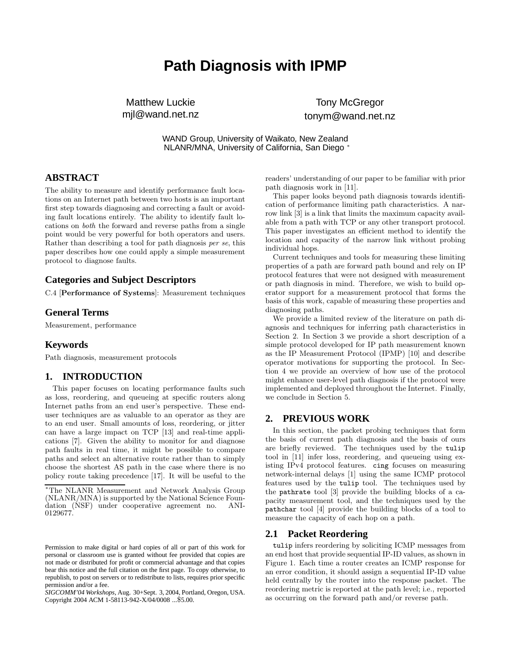# **Path Diagnosis with IPMP**

Matthew Luckie mjl@wand.net.nz

Tony McGregor tonym@wand.net.nz

WAND Group, University of Waikato, New Zealand NLANR/MNA, University of California, San Diego <sup>∗</sup>

# **ABSTRACT**

The ability to measure and identify performance fault locations on an Internet path between two hosts is an important first step towards diagnosing and correcting a fault or avoiding fault locations entirely. The ability to identify fault locations on both the forward and reverse paths from a single point would be very powerful for both operators and users. Rather than describing a tool for path diagnosis per se, this paper describes how one could apply a simple measurement protocol to diagnose faults.

# **Categories and Subject Descriptors**

C.4 [Performance of Systems]: Measurement techniques

# **General Terms**

Measurement, performance

## **Keywords**

Path diagnosis, measurement protocols

# **1. INTRODUCTION**

This paper focuses on locating performance faults such as loss, reordering, and queueing at specific routers along Internet paths from an end user's perspective. These enduser techniques are as valuable to an operator as they are to an end user. Small amounts of loss, reordering, or jitter can have a large impact on TCP [13] and real-time applications [7]. Given the ability to monitor for and diagnose path faults in real time, it might be possible to compare paths and select an alternative route rather than to simply choose the shortest AS path in the case where there is no policy route taking precedence [17]. It will be useful to the readers' understanding of our paper to be familiar with prior path diagnosis work in [11].

This paper looks beyond path diagnosis towards identification of performance limiting path characteristics. A narrow link [3] is a link that limits the maximum capacity available from a path with TCP or any other transport protocol. This paper investigates an efficient method to identify the location and capacity of the narrow link without probing individual hops.

Current techniques and tools for measuring these limiting properties of a path are forward path bound and rely on IP protocol features that were not designed with measurement or path diagnosis in mind. Therefore, we wish to build operator support for a measurement protocol that forms the basis of this work, capable of measuring these properties and diagnosing paths.

We provide a limited review of the literature on path diagnosis and techniques for inferring path characteristics in Section 2. In Section 3 we provide a short description of a simple protocol developed for IP path measurement known as the IP Measurement Protocol (IPMP) [10] and describe operator motivations for supporting the protocol. In Section 4 we provide an overview of how use of the protocol might enhance user-level path diagnosis if the protocol were implemented and deployed throughout the Internet. Finally, we conclude in Section 5.

# **2. PREVIOUS WORK**

In this section, the packet probing techniques that form the basis of current path diagnosis and the basis of ours are briefly reviewed. The techniques used by the tulip tool in [11] infer loss, reordering, and queueing using existing IPv4 protocol features. cing focuses on measuring network-internal delays [1] using the same ICMP protocol features used by the tulip tool. The techniques used by the pathrate tool [3] provide the building blocks of a capacity measurement tool, and the techniques used by the pathchar tool [4] provide the building blocks of a tool to measure the capacity of each hop on a path.

# **2.1 Packet Reordering**

tulip infers reordering by soliciting ICMP messages from an end host that provide sequential IP-ID values, as shown in Figure 1. Each time a router creates an ICMP response for an error condition, it should assign a sequential IP-ID value held centrally by the router into the response packet. The reordering metric is reported at the path level; i.e., reported as occurring on the forward path and/or reverse path.

<sup>∗</sup>The NLANR Measurement and Network Analysis Group (NLANR/MNA) is supported by the National Science Foundation (NSF) under cooperative agreement no. ANI-0129677.

Permission to make digital or hard copies of all or part of this work for personal or classroom use is granted without fee provided that copies are not made or distributed for profit or commercial advantage and that copies bear this notice and the full citation on the first page. To copy otherwise, to republish, to post on servers or to redistribute to lists, requires prior specific permission and/or a fee.

*SIGCOMM'04 Workshops,* Aug. 30+Sept. 3, 2004, Portland, Oregon, USA. Copyright 2004 ACM 1-58113-942-X/04/0008 ...\$5.00.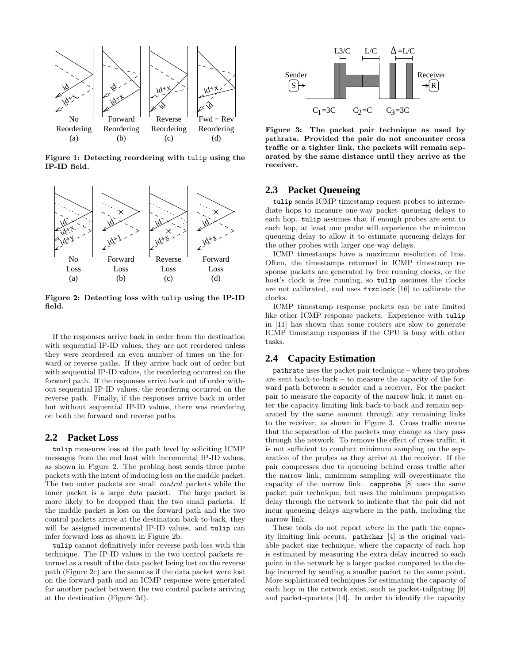

Figure 1: Detecting reordering with tulip using the IP-ID field.



Figure 2: Detecting loss with tulip using the IP-ID field.

If the responses arrive back in order from the destination with sequential IP-ID values, they are not reordered unless they were reordered an even number of times on the forward or reverse paths. If they arrive back out of order but with sequential IP-ID values, the reordering occurred on the forward path. If the responses arrive back out of order without sequential IP-ID values, the reordering occurred on the reverse path. Finally, if the responses arrive back in order but without sequential IP-ID values, there was reordering on both the forward and reverse paths.

## **2.2 Packet Loss**

tulip measures loss at the path level by soliciting ICMP messages from the end host with incremental IP-ID values, as shown in Figure 2. The probing host sends three probe packets with the intent of inducing loss on the middle packet. The two outer packets are small control packets while the inner packet is a large data packet. The large packet is more likely to be dropped than the two small packets. If the middle packet is lost on the forward path and the two control packets arrive at the destination back-to-back, they will be assigned incremental IP-ID values, and tulip can infer forward loss as shown in Figure 2b.

tulip cannot definitively infer reverse path loss with this technique. The IP-ID values in the two control packets returned as a result of the data packet being lost on the reverse path (Figure 2c) are the same as if the data packet were lost on the forward path and an ICMP response were generated for another packet between the two control packets arriving at the destination (Figure 2d).



Figure 3: The packet pair technique as used by pathrate. Provided the pair do not encounter cross traffic or a tighter link, the packets will remain separated by the same distance until they arrive at the receiver.

## **2.3 Packet Queueing**

tulip sends ICMP timestamp request probes to intermediate hops to measure one-way packet queueing delays to each hop. tulip assumes that if enough probes are sent to each hop, at least one probe will experience the minimum queueing delay to allow it to estimate queueing delays for the other probes with larger one-way delays.

ICMP timestamps have a maximum resolution of 1ms. Often, the timestamps returned in ICMP timestamp response packets are generated by free running clocks, or the host's clock is free running, so tulip assumes the clocks are not calibrated, and uses fixclock [16] to calibrate the clocks.

ICMP timestamp response packets can be rate limited like other ICMP response packets. Experience with tulip in [11] has shown that some routers are slow to generate ICMP timestamp responses if the CPU is busy with other tasks.

# **2.4 Capacity Estimation**

pathrate uses the packet pair technique – where two probes are sent back-to-back – to measure the capacity of the forward path between a sender and a receiver. For the packet pair to measure the capacity of the narrow link, it must enter the capacity limiting link back-to-back and remain separated by the same amount through any remaining links to the receiver, as shown in Figure 3. Cross traffic means that the separation of the packets may change as they pass through the network. To remove the effect of cross traffic, it is not sufficient to conduct minimum sampling on the separation of the probes as they arrive at the receiver. If the pair compresses due to queueing behind cross traffic after the narrow link, minimum sampling will overestimate the capacity of the narrow link. capprobe [8] uses the same packet pair technique, but uses the minimum propagation delay through the network to indicate that the pair did not incur queueing delays anywhere in the path, including the narrow link.

These tools do not report where in the path the capacity limiting link occurs. pathchar [4] is the original variable packet size technique, where the capacity of each hop is estimated by measuring the extra delay incurred to each point in the network by a larger packet compared to the delay incurred by sending a smaller packet to the same point. More sophisticated techniques for estimating the capacity of each hop in the network exist, such as packet-tailgating [9] and packet-quartets [14]. In order to identify the capacity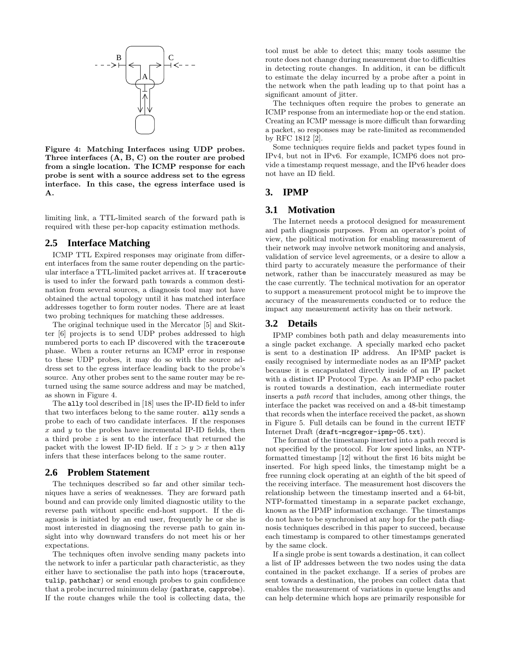

Figure 4: Matching Interfaces using UDP probes. Three interfaces (A, B, C) on the router are probed from a single location. The ICMP response for each probe is sent with a source address set to the egress interface. In this case, the egress interface used is A.

limiting link, a TTL-limited search of the forward path is required with these per-hop capacity estimation methods.

## **2.5 Interface Matching**

ICMP TTL Expired responses may originate from different interfaces from the same router depending on the particular interface a TTL-limited packet arrives at. If traceroute is used to infer the forward path towards a common destination from several sources, a diagnosis tool may not have obtained the actual topology until it has matched interface addresses together to form router nodes. There are at least two probing techniques for matching these addresses.

The original technique used in the Mercator [5] and Skitter [6] projects is to send UDP probes addressed to high numbered ports to each IP discovered with the traceroute phase. When a router returns an ICMP error in response to these UDP probes, it may do so with the source address set to the egress interface leading back to the probe's source. Any other probes sent to the same router may be returned using the same source address and may be matched, as shown in Figure 4.

The ally tool described in [18] uses the IP-ID field to infer that two interfaces belong to the same router. ally sends a probe to each of two candidate interfaces. If the responses  $x$  and  $y$  to the probes have incremental IP-ID fields, then a third probe z is sent to the interface that returned the packet with the lowest IP-ID field. If  $z > y > x$  then ally infers that these interfaces belong to the same router.

#### **2.6 Problem Statement**

The techniques described so far and other similar techniques have a series of weaknesses. They are forward path bound and can provide only limited diagnostic utility to the reverse path without specific end-host support. If the diagnosis is initiated by an end user, frequently he or she is most interested in diagnosing the reverse path to gain insight into why downward transfers do not meet his or her expectations.

The techniques often involve sending many packets into the network to infer a particular path characteristic, as they either have to sectionalise the path into hops (traceroute, tulip, pathchar) or send enough probes to gain confidence that a probe incurred minimum delay (pathrate, capprobe). If the route changes while the tool is collecting data, the tool must be able to detect this; many tools assume the route does not change during measurement due to difficulties in detecting route changes. In addition, it can be difficult to estimate the delay incurred by a probe after a point in the network when the path leading up to that point has a significant amount of jitter.

The techniques often require the probes to generate an ICMP response from an intermediate hop or the end station. Creating an ICMP message is more difficult than forwarding a packet, so responses may be rate-limited as recommended by RFC 1812 [2].

Some techniques require fields and packet types found in IPv4, but not in IPv6. For example, ICMP6 does not provide a timestamp request message, and the IPv6 header does not have an ID field.

# **3. IPMP**

#### **3.1 Motivation**

The Internet needs a protocol designed for measurement and path diagnosis purposes. From an operator's point of view, the political motivation for enabling measurement of their network may involve network monitoring and analysis, validation of service level agreements, or a desire to allow a third party to accurately measure the performance of their network, rather than be inaccurately measured as may be the case currently. The technical motivation for an operator to support a measurement protocol might be to improve the accuracy of the measurements conducted or to reduce the impact any measurement activity has on their network.

## **3.2 Details**

IPMP combines both path and delay measurements into a single packet exchange. A specially marked echo packet is sent to a destination IP address. An IPMP packet is easily recognised by intermediate nodes as an IPMP packet because it is encapsulated directly inside of an IP packet with a distinct IP Protocol Type. As an IPMP echo packet is routed towards a destination, each intermediate router inserts a path record that includes, among other things, the interface the packet was received on and a 48-bit timestamp that records when the interface received the packet, as shown in Figure 5. Full details can be found in the current IETF Internet Draft (draft-mcgregor-ipmp-05.txt).

The format of the timestamp inserted into a path record is not specified by the protocol. For low speed links, an NTPformatted timestamp [12] without the first 16 bits might be inserted. For high speed links, the timestamp might be a free running clock operating at an eighth of the bit speed of the receiving interface. The measurement host discovers the relationship between the timestamp inserted and a 64-bit, NTP-formatted timestamp in a separate packet exchange, known as the IPMP information exchange. The timestamps do not have to be synchronised at any hop for the path diagnosis techniques described in this paper to succeed, because each timestamp is compared to other timestamps generated by the same clock.

If a single probe is sent towards a destination, it can collect a list of IP addresses between the two nodes using the data contained in the packet exchange. If a series of probes are sent towards a destination, the probes can collect data that enables the measurement of variations in queue lengths and can help determine which hops are primarily responsible for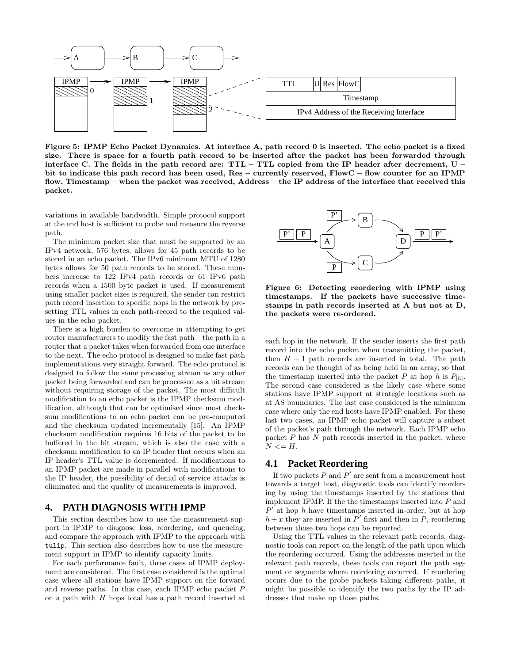

Figure 5: IPMP Echo Packet Dynamics. At interface A, path record 0 is inserted. The echo packet is a fixed size. There is space for a fourth path record to be inserted after the packet has been forwarded through interface C. The fields in the path record are:  $TTL - TTL$  copied from the IP header after decrement, U – bit to indicate this path record has been used, Res – currently reserved, FlowC – flow counter for an IPMP flow, Timestamp – when the packet was received, Address – the IP address of the interface that received this packet.

variations in available bandwidth. Simple protocol support at the end host is sufficient to probe and measure the reverse path.

The minimum packet size that must be supported by an IPv4 network, 576 bytes, allows for 45 path records to be stored in an echo packet. The IPv6 minimum MTU of 1280 bytes allows for 50 path records to be stored. These numbers increase to 122 IPv4 path records or 61 IPv6 path records when a 1500 byte packet is used. If measurement using smaller packet sizes is required, the sender can restrict path record insertion to specific hops in the network by presetting TTL values in each path-record to the required values in the echo packet.

There is a high burden to overcome in attempting to get router manufacturers to modify the fast path – the path in a router that a packet takes when forwarded from one interface to the next. The echo protocol is designed to make fast path implementations very straight forward. The echo protocol is designed to follow the same processing stream as any other packet being forwarded and can be processed as a bit stream without requiring storage of the packet. The most difficult modification to an echo packet is the IPMP checksum modification, although that can be optimised since most checksum modifications to an echo packet can be pre-computed and the checksum updated incrementally [15]. An IPMP checksum modification requires 16 bits of the packet to be buffered in the bit stream, which is also the case with a checksum modification to an IP header that occurs when an IP header's TTL value is decremented. If modifications to an IPMP packet are made in parallel with modifications to the IP header, the possibility of denial of service attacks is eliminated and the quality of measurements is improved.

#### **4. PATH DIAGNOSIS WITH IPMP**

This section describes how to use the measurement support in IPMP to diagnose loss, reordering, and queueing, and compare the approach with IPMP to the approach with tulip. This section also describes how to use the measurement support in IPMP to identify capacity limits.

For each performance fault, three cases of IPMP deployment are considered. The first case considered is the optimal case where all stations have IPMP support on the forward and reverse paths. In this case, each IPMP echo packet P on a path with  $H$  hops total has a path record inserted at



Figure 6: Detecting reordering with IPMP using timestamps. If the packets have successive timestamps in path records inserted at A but not at D, the packets were re-ordered.

each hop in the network. If the sender inserts the first path record into the echo packet when transmitting the packet, then  $H + 1$  path records are inserted in total. The path records can be thought of as being held in an array, so that the timestamp inserted into the packet P at hop h is  $P_{[h]}$ . The second case considered is the likely case where some stations have IPMP support at strategic locations such as at AS boundaries. The last case considered is the minimum case where only the end hosts have IPMP enabled. For these last two cases, an IPMP echo packet will capture a subset of the packet's path through the network. Each IPMP echo packet  $P$  has  $N$  path records inserted in the packet, where  $N \leq H$ .

# **4.1 Packet Reordering**

If two packets  $P$  and  $P'$  are sent from a measurement host towards a target host, diagnostic tools can identify reordering by using the timestamps inserted by the stations that implement IPMP. If the the timestamps inserted into P and  $P'$  at hop h have timestamps inserted in-order, but at hop  $h+x$  they are inserted in  $P'$  first and then in  $P$ , reordering between those two hops can be reported.

Using the TTL values in the relevant path records, diagnostic tools can report on the length of the path upon which the reordering occurred. Using the addresses inserted in the relevant path records, these tools can report the path segment or segments where reordering occurred. If reordering occurs due to the probe packets taking different paths, it might be possible to identify the two paths by the IP addresses that make up those paths.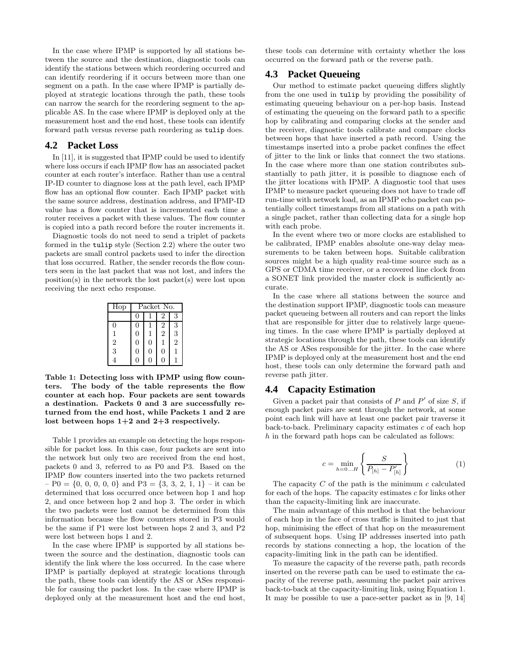In the case where IPMP is supported by all stations between the source and the destination, diagnostic tools can identify the stations between which reordering occurred and can identify reordering if it occurs between more than one segment on a path. In the case where IPMP is partially deployed at strategic locations through the path, these tools can narrow the search for the reordering segment to the applicable AS. In the case where IPMP is deployed only at the measurement host and the end host, these tools can identify forward path versus reverse path reordering as tulip does.

#### **4.2 Packet Loss**

In [11], it is suggested that IPMP could be used to identify where loss occurs if each IPMP flow has an associated packet counter at each router's interface. Rather than use a central IP-ID counter to diagnose loss at the path level, each IPMP flow has an optional flow counter. Each IPMP packet with the same source address, destination address, and IPMP-ID value has a flow counter that is incremented each time a router receives a packet with these values. The flow counter is copied into a path record before the router increments it.

Diagnostic tools do not need to send a triplet of packets formed in the tulip style (Section 2.2) where the outer two packets are small control packets used to infer the direction that loss occurred. Rather, the sender records the flow counters seen in the last packet that was not lost, and infers the position(s) in the network the lost packet(s) were lost upon receiving the next echo response.

| Hop            | Packet No.       |   |                |                |
|----------------|------------------|---|----------------|----------------|
|                | $\left( \right)$ |   | 2              | 3              |
| $\overline{0}$ | 0                |   | $\overline{2}$ | $\frac{3}{3}$  |
| 1              | 0                | 1 | $\overline{2}$ |                |
| $\overline{2}$ | 0                | 0 | 1              | $\overline{2}$ |
| 3              | 0                | 0 | 0              |                |
|                | 0                | 0 | 0              |                |

Table 1: Detecting loss with IPMP using flow counters. The body of the table represents the flow counter at each hop. Four packets are sent towards a destination. Packets 0 and 3 are successfully returned from the end host, while Packets 1 and 2 are lost between hops  $1+2$  and  $2+3$  respectively.

Table 1 provides an example on detecting the hops responsible for packet loss. In this case, four packets are sent into the network but only two are received from the end host, packets 0 and 3, referred to as P0 and P3. Based on the IPMP flow counters inserted into the two packets returned  $-P0 = \{0, 0, 0, 0, 0\}$  and  $P3 = \{3, 3, 2, 1, 1\}$  – it can be determined that loss occurred once between hop 1 and hop 2, and once between hop 2 and hop 3. The order in which the two packets were lost cannot be determined from this information because the flow counters stored in P3 would be the same if P1 were lost between hops 2 and 3, and P2 were lost between hops 1 and 2.

In the case where IPMP is supported by all stations between the source and the destination, diagnostic tools can identify the link where the loss occurred. In the case where IPMP is partially deployed at strategic locations through the path, these tools can identify the AS or ASes responsible for causing the packet loss. In the case where IPMP is deployed only at the measurement host and the end host,

these tools can determine with certainty whether the loss occurred on the forward path or the reverse path.

# **4.3 Packet Queueing**

Our method to estimate packet queueing differs slightly from the one used in tulip by providing the possibility of estimating queueing behaviour on a per-hop basis. Instead of estimating the queueing on the forward path to a specific hop by calibrating and comparing clocks at the sender and the receiver, diagnostic tools calibrate and compare clocks between hops that have inserted a path record. Using the timestamps inserted into a probe packet confines the effect of jitter to the link or links that connect the two stations. In the case where more than one station contributes substantially to path jitter, it is possible to diagnose each of the jitter locations with IPMP. A diagnostic tool that uses IPMP to measure packet queueing does not have to trade off run-time with network load, as an IPMP echo packet can potentially collect timestamps from all stations on a path with a single packet, rather than collecting data for a single hop with each probe.

In the event where two or more clocks are established to be calibrated, IPMP enables absolute one-way delay measurements to be taken between hops. Suitable calibration sources might be a high quality real-time source such as a GPS or CDMA time receiver, or a recovered line clock from a SONET link provided the master clock is sufficiently accurate.

In the case where all stations between the source and the destination support IPMP, diagnostic tools can measure packet queueing between all routers and can report the links that are responsible for jitter due to relatively large queueing times. In the case where IPMP is partially deployed at strategic locations through the path, these tools can identify the AS or ASes responsible for the jitter. In the case where IPMP is deployed only at the measurement host and the end host, these tools can only determine the forward path and reverse path jitter.

#### **4.4 Capacity Estimation**

Given a packet pair that consists of  $P$  and  $P'$  of size  $S$ , if enough packet pairs are sent through the network, at some point each link will have at least one packet pair traverse it back-to-back. Preliminary capacity estimates c of each hop  $h$  in the forward path hops can be calculated as follows:

$$
c = \min_{h=0...H} \left\{ \frac{S}{P_{[h]} - P'_{[h]}} \right\} \tag{1}
$$

The capacity  $C$  of the path is the minimum  $c$  calculated for each of the hops. The capacity estimates  $c$  for links other than the capacity-limiting link are inaccurate.

The main advantage of this method is that the behaviour of each hop in the face of cross traffic is limited to just that hop, minimising the effect of that hop on the measurement of subsequent hops. Using IP addresses inserted into path records by stations connecting a hop, the location of the capacity-limiting link in the path can be identified.

To measure the capacity of the reverse path, path records inserted on the reverse path can be used to estimate the capacity of the reverse path, assuming the packet pair arrives back-to-back at the capacity-limiting link, using Equation 1. It may be possible to use a pace-setter packet as in [9, 14]